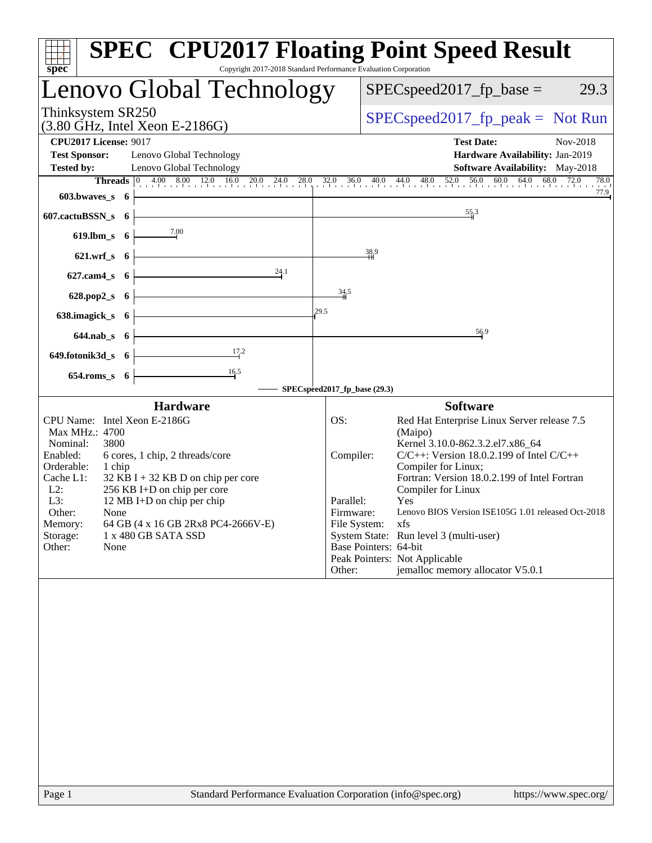| $spec^*$                                                                                   | <b>SPEC<sup>®</sup> CPU2017 Floating Point Speed Result</b><br>Copyright 2017-2018 Standard Performance Evaluation Corporation                                                                                                                                                                             |
|--------------------------------------------------------------------------------------------|------------------------------------------------------------------------------------------------------------------------------------------------------------------------------------------------------------------------------------------------------------------------------------------------------------|
| Lenovo Global Technology                                                                   | $SPEC speed2017_fp\_base =$<br>29.3                                                                                                                                                                                                                                                                        |
| Thinksystem SR250<br>$(3.80 \text{ GHz}, \text{Intel Xeon E-2186G})$                       | $SPEC speed2017fr peak = Not Run$                                                                                                                                                                                                                                                                          |
| <b>CPU2017 License: 9017</b>                                                               | <b>Test Date:</b><br>Nov-2018                                                                                                                                                                                                                                                                              |
| <b>Test Sponsor:</b><br>Lenovo Global Technology                                           | Hardware Availability: Jan-2019                                                                                                                                                                                                                                                                            |
| <b>Tested by:</b><br>Lenovo Global Technology                                              | Software Availability: May-2018<br>78.0                                                                                                                                                                                                                                                                    |
| 603.bwaves_s 6                                                                             | <b>Threads</b> $\begin{bmatrix} 0 & 4.00 & 8.00 & 12.0 & 16.0 & 20.0 & 24.0 & 28.0 & 32.0 & 36.0 & 40.0 & 44.0 & 48.0 & 52.0 & 56.0 & 60.0 & 64.0 & 68.0 & 72.0 \\ 0 & 0 & 0 & 0 & 0 & 0 & 0 & 0 & 0 & 0 \\ 0 & 0 & 0 & 0 & 0 & 0 & 0 & 0 & 0 \\ 0 & 0 & 0 & 0 & 0 & 0 & 0 & 0 & 0 \\ 0 & 0 & 0 &$<br>77.9 |
| 607.cactuBSSN_s 6                                                                          | 55.3                                                                                                                                                                                                                                                                                                       |
| $\frac{7.00}{4}$<br>$619$ .lbm_s $6$                                                       |                                                                                                                                                                                                                                                                                                            |
| $621.wrf_s$ 6                                                                              | 38.9                                                                                                                                                                                                                                                                                                       |
| 24.1<br>$627$ .cam $4_s$<br>- 6                                                            |                                                                                                                                                                                                                                                                                                            |
| 628.pop2_s<br>- 6                                                                          | 34.5                                                                                                                                                                                                                                                                                                       |
| 638.imagick_s<br>- 6                                                                       | 29.5                                                                                                                                                                                                                                                                                                       |
| $644$ .nab $s$ 6                                                                           | 56.9                                                                                                                                                                                                                                                                                                       |
| 17.2<br>649.fotonik3d_s 6                                                                  |                                                                                                                                                                                                                                                                                                            |
| $\frac{16.5}{1}$<br>$654$ .roms_s $6$                                                      |                                                                                                                                                                                                                                                                                                            |
|                                                                                            | SPECspeed2017_fp_base (29.3)                                                                                                                                                                                                                                                                               |
| <b>Hardware</b>                                                                            | <b>Software</b>                                                                                                                                                                                                                                                                                            |
| CPU Name: Intel Xeon E-2186G                                                               | OS:<br>Red Hat Enterprise Linux Server release 7.5                                                                                                                                                                                                                                                         |
| Max MHz.: 4700<br>Nominal:<br>3800                                                         | (Maipo)<br>Kernel 3.10.0-862.3.2.el7.x86_64                                                                                                                                                                                                                                                                |
| Enabled:<br>6 cores, 1 chip, 2 threads/core                                                | $C/C++$ : Version 18.0.2.199 of Intel $C/C++$<br>Compiler:                                                                                                                                                                                                                                                 |
| Orderable:<br>1 chip                                                                       | Compiler for Linux;                                                                                                                                                                                                                                                                                        |
| Cache L1:<br>$32$ KB I + 32 KB D on chip per core<br>$L2$ :<br>256 KB I+D on chip per core | Fortran: Version 18.0.2.199 of Intel Fortran<br>Compiler for Linux                                                                                                                                                                                                                                         |
| L3:<br>12 MB I+D on chip per chip                                                          | Parallel:<br><b>Yes</b>                                                                                                                                                                                                                                                                                    |
| Other:<br>None<br>64 GB (4 x 16 GB 2Rx8 PC4-2666V-E)<br>Memory:                            | Lenovo BIOS Version ISE105G 1.01 released Oct-2018<br>Firmware:<br>File System:<br>xfs                                                                                                                                                                                                                     |
| Storage:<br>1 x 480 GB SATA SSD                                                            | System State: Run level 3 (multi-user)                                                                                                                                                                                                                                                                     |
| Other:<br>None                                                                             | Base Pointers: 64-bit                                                                                                                                                                                                                                                                                      |
|                                                                                            | Peak Pointers: Not Applicable<br>jemalloc memory allocator V5.0.1<br>Other:                                                                                                                                                                                                                                |
|                                                                                            |                                                                                                                                                                                                                                                                                                            |
| Page 1                                                                                     | Standard Performance Evaluation Corporation (info@spec.org)<br>https://www.spec.org/                                                                                                                                                                                                                       |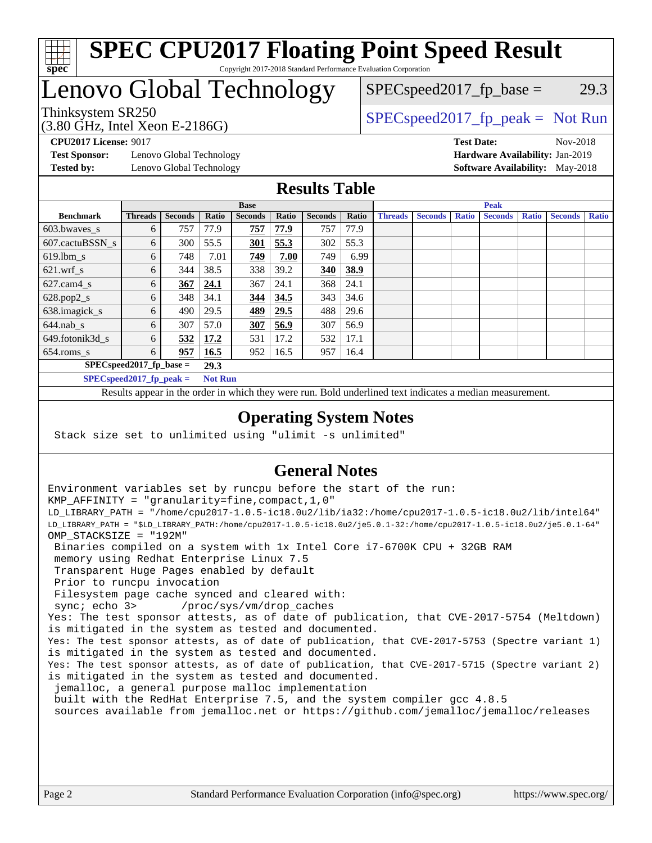

### **[SPEC CPU2017 Floating Point Speed Result](http://www.spec.org/auto/cpu2017/Docs/result-fields.html#SPECCPU2017FloatingPointSpeedResult)** Copyright 2017-2018 Standard Performance Evaluation Corporation

# Lenovo Global Technology

Thinksystem SR250  $SPEC speed2017$  [p\_peak = Not Run  $SPEC speed2017_fp\_base = 29.3$ 

(3.80 GHz, Intel Xeon E-2186G)

**[Test Sponsor:](http://www.spec.org/auto/cpu2017/Docs/result-fields.html#TestSponsor)** Lenovo Global Technology **[Hardware Availability:](http://www.spec.org/auto/cpu2017/Docs/result-fields.html#HardwareAvailability)** Jan-2019 **[Tested by:](http://www.spec.org/auto/cpu2017/Docs/result-fields.html#Testedby)** Lenovo Global Technology **[Software Availability:](http://www.spec.org/auto/cpu2017/Docs/result-fields.html#SoftwareAvailability)** May-2018

**[CPU2017 License:](http://www.spec.org/auto/cpu2017/Docs/result-fields.html#CPU2017License)** 9017 **[Test Date:](http://www.spec.org/auto/cpu2017/Docs/result-fields.html#TestDate)** Nov-2018

### **[Results Table](http://www.spec.org/auto/cpu2017/Docs/result-fields.html#ResultsTable)**

|                                    | <b>Base</b>                |                |                |                |       | <b>Peak</b>    |       |                |                |              |                |              |                |              |
|------------------------------------|----------------------------|----------------|----------------|----------------|-------|----------------|-------|----------------|----------------|--------------|----------------|--------------|----------------|--------------|
| <b>Benchmark</b>                   | <b>Threads</b>             | <b>Seconds</b> | Ratio          | <b>Seconds</b> | Ratio | <b>Seconds</b> | Ratio | <b>Threads</b> | <b>Seconds</b> | <b>Ratio</b> | <b>Seconds</b> | <b>Ratio</b> | <b>Seconds</b> | <b>Ratio</b> |
| $603.bwaves$ s                     | 6                          | 757            | 77.9           | 757            | 77.9  | 757            | 77.9  |                |                |              |                |              |                |              |
| 607.cactuBSSN s                    | 6                          | 300            | 55.5           | <u>301</u>     | 55.3  | 302            | 55.3  |                |                |              |                |              |                |              |
| $619.$ lbm s                       | 6                          | 748            | 7.01           | 749            | 7.00  | 749            | 6.99  |                |                |              |                |              |                |              |
| $621.wrf$ s                        | 6                          | 344            | 38.5           | 338            | 39.2  | 340            | 38.9  |                |                |              |                |              |                |              |
| $627$ .cam $4 \text{ s}$           | 6                          | 367            | 24.1           | 367            | 24.1  | 368            | 24.1  |                |                |              |                |              |                |              |
| $628.pop2_s$                       | 6                          | 348            | 34.1           | 344            | 34.5  | 343            | 34.6  |                |                |              |                |              |                |              |
| 638.imagick_s                      | 6                          | 490            | 29.5           | 489            | 29.5  | 488            | 29.6  |                |                |              |                |              |                |              |
| $644$ .nab s                       | 6                          | 307            | 57.0           | 307            | 56.9  | 307            | 56.9  |                |                |              |                |              |                |              |
| 649.fotonik3d_s                    | 6                          | 532            | 17.2           | 531            | 17.2  | 532            | 17.1  |                |                |              |                |              |                |              |
| $654$ .roms_s                      | 6                          | 957            | 16.5           | 952            | 16.5  | 957            | 16.4  |                |                |              |                |              |                |              |
| $SPEC speed2017$ fp base =<br>29.3 |                            |                |                |                |       |                |       |                |                |              |                |              |                |              |
|                                    | $SPECspeed2017_fp\_peak =$ |                | <b>Not Run</b> |                |       |                |       |                |                |              |                |              |                |              |

Results appear in the [order in which they were run.](http://www.spec.org/auto/cpu2017/Docs/result-fields.html#RunOrder) Bold underlined text [indicates a median measurement](http://www.spec.org/auto/cpu2017/Docs/result-fields.html#Median).

### **[Operating System Notes](http://www.spec.org/auto/cpu2017/Docs/result-fields.html#OperatingSystemNotes)**

Stack size set to unlimited using "ulimit -s unlimited"

### **[General Notes](http://www.spec.org/auto/cpu2017/Docs/result-fields.html#GeneralNotes)**

Environment variables set by runcpu before the start of the run: KMP\_AFFINITY = "granularity=fine,compact,1,0" LD\_LIBRARY\_PATH = "/home/cpu2017-1.0.5-ic18.0u2/lib/ia32:/home/cpu2017-1.0.5-ic18.0u2/lib/intel64" LD\_LIBRARY\_PATH = "\$LD\_LIBRARY\_PATH:/home/cpu2017-1.0.5-ic18.0u2/je5.0.1-32:/home/cpu2017-1.0.5-ic18.0u2/je5.0.1-64" OMP\_STACKSIZE = "192M" Binaries compiled on a system with 1x Intel Core i7-6700K CPU + 32GB RAM memory using Redhat Enterprise Linux 7.5 Transparent Huge Pages enabled by default Prior to runcpu invocation Filesystem page cache synced and cleared with: sync; echo 3> /proc/sys/vm/drop\_caches Yes: The test sponsor attests, as of date of publication, that CVE-2017-5754 (Meltdown) is mitigated in the system as tested and documented. Yes: The test sponsor attests, as of date of publication, that CVE-2017-5753 (Spectre variant 1) is mitigated in the system as tested and documented. Yes: The test sponsor attests, as of date of publication, that CVE-2017-5715 (Spectre variant 2) is mitigated in the system as tested and documented. jemalloc, a general purpose malloc implementation built with the RedHat Enterprise 7.5, and the system compiler gcc 4.8.5 sources available from jemalloc.net or <https://github.com/jemalloc/jemalloc/releases>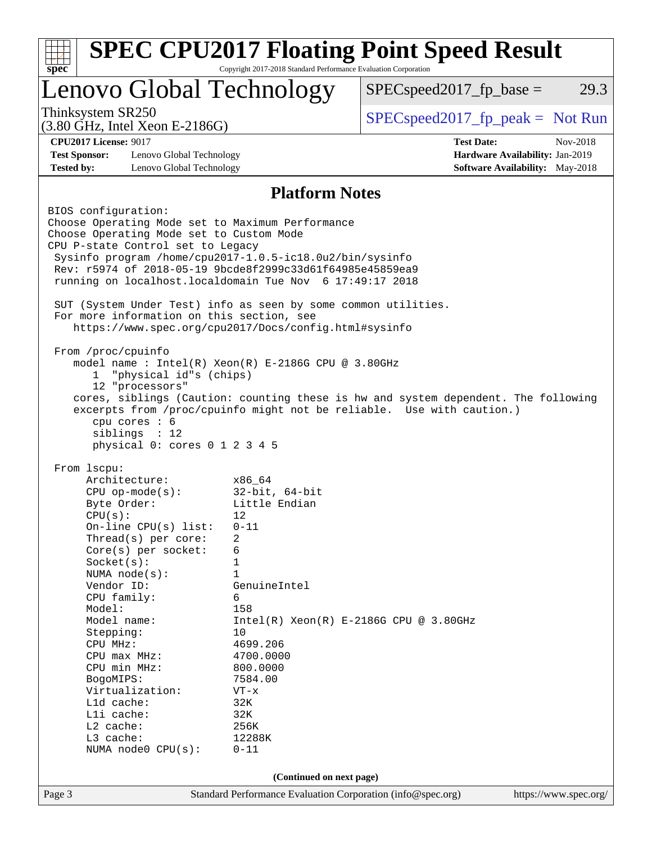|                                                                      | <b>SPEC CPU2017 Floating Point Speed Result</b><br>Copyright 2017-2018 Standard Performance Evaluation Corporation<br>$spec^*$ |                                                                                    |                                        |  |  |  |  |
|----------------------------------------------------------------------|--------------------------------------------------------------------------------------------------------------------------------|------------------------------------------------------------------------------------|----------------------------------------|--|--|--|--|
| Lenovo Global Technology                                             |                                                                                                                                | $SPEC speed2017fp base =$                                                          | 29.3                                   |  |  |  |  |
| Thinksystem SR250<br>$(3.80 \text{ GHz}, \text{Intel Xeon E-2186G})$ |                                                                                                                                | $SPEC speed2017_fp\_peak = Not Run$                                                |                                        |  |  |  |  |
| <b>CPU2017 License: 9017</b>                                         |                                                                                                                                | <b>Test Date:</b>                                                                  | Nov-2018                               |  |  |  |  |
| <b>Test Sponsor:</b><br>Lenovo Global Technology                     |                                                                                                                                |                                                                                    | Hardware Availability: Jan-2019        |  |  |  |  |
| <b>Tested by:</b><br>Lenovo Global Technology                        |                                                                                                                                |                                                                                    | <b>Software Availability:</b> May-2018 |  |  |  |  |
|                                                                      | <b>Platform Notes</b>                                                                                                          |                                                                                    |                                        |  |  |  |  |
| BIOS configuration:                                                  |                                                                                                                                |                                                                                    |                                        |  |  |  |  |
| Choose Operating Mode set to Maximum Performance                     |                                                                                                                                |                                                                                    |                                        |  |  |  |  |
| Choose Operating Mode set to Custom Mode                             |                                                                                                                                |                                                                                    |                                        |  |  |  |  |
| CPU P-state Control set to Legacy                                    |                                                                                                                                |                                                                                    |                                        |  |  |  |  |
| Sysinfo program /home/cpu2017-1.0.5-ic18.0u2/bin/sysinfo             |                                                                                                                                |                                                                                    |                                        |  |  |  |  |
| Rev: r5974 of 2018-05-19 9bcde8f2999c33d61f64985e45859ea9            |                                                                                                                                |                                                                                    |                                        |  |  |  |  |
| running on localhost.localdomain Tue Nov 6 17:49:17 2018             |                                                                                                                                |                                                                                    |                                        |  |  |  |  |
| SUT (System Under Test) info as seen by some common utilities.       |                                                                                                                                |                                                                                    |                                        |  |  |  |  |
| For more information on this section, see                            |                                                                                                                                |                                                                                    |                                        |  |  |  |  |
| https://www.spec.org/cpu2017/Docs/config.html#sysinfo                |                                                                                                                                |                                                                                    |                                        |  |  |  |  |
|                                                                      |                                                                                                                                |                                                                                    |                                        |  |  |  |  |
| From /proc/cpuinfo                                                   |                                                                                                                                |                                                                                    |                                        |  |  |  |  |
| model name : Intel(R) Xeon(R) E-2186G CPU @ 3.80GHz                  |                                                                                                                                |                                                                                    |                                        |  |  |  |  |
| "physical id"s (chips)<br>1<br>12 "processors"                       |                                                                                                                                |                                                                                    |                                        |  |  |  |  |
|                                                                      |                                                                                                                                | cores, siblings (Caution: counting these is hw and system dependent. The following |                                        |  |  |  |  |
|                                                                      |                                                                                                                                | excerpts from /proc/cpuinfo might not be reliable. Use with caution.)              |                                        |  |  |  |  |
| cpu cores : 6                                                        |                                                                                                                                |                                                                                    |                                        |  |  |  |  |
| siblings : 12                                                        |                                                                                                                                |                                                                                    |                                        |  |  |  |  |
| physical 0: cores 0 1 2 3 4 5                                        |                                                                                                                                |                                                                                    |                                        |  |  |  |  |
|                                                                      |                                                                                                                                |                                                                                    |                                        |  |  |  |  |
| From 1scpu:<br>Architecture:                                         | x86 64                                                                                                                         |                                                                                    |                                        |  |  |  |  |
| $CPU$ op-mode( $s$ ):                                                | $32$ -bit, $64$ -bit                                                                                                           |                                                                                    |                                        |  |  |  |  |
| Byte Order:                                                          | Little Endian                                                                                                                  |                                                                                    |                                        |  |  |  |  |
| CPU(s):                                                              | 12                                                                                                                             |                                                                                    |                                        |  |  |  |  |
| On-line CPU(s) list:                                                 | $0 - 11$                                                                                                                       |                                                                                    |                                        |  |  |  |  |
| Thread(s) per core:                                                  | 2                                                                                                                              |                                                                                    |                                        |  |  |  |  |
| Core(s) per socket:                                                  | 6                                                                                                                              |                                                                                    |                                        |  |  |  |  |
| Socket(s):                                                           | 1                                                                                                                              |                                                                                    |                                        |  |  |  |  |
| NUMA node(s):                                                        | $\mathbf{1}$                                                                                                                   |                                                                                    |                                        |  |  |  |  |
| Vendor ID:                                                           | GenuineIntel                                                                                                                   |                                                                                    |                                        |  |  |  |  |
| CPU family:                                                          | 6                                                                                                                              |                                                                                    |                                        |  |  |  |  |
|                                                                      |                                                                                                                                |                                                                                    |                                        |  |  |  |  |
| Model:                                                               | 158                                                                                                                            |                                                                                    |                                        |  |  |  |  |
| Model name:                                                          | 10                                                                                                                             | $Intel(R) Xeon(R) E-2186G CPU @ 3.80GHz$                                           |                                        |  |  |  |  |
| Stepping:<br>CPU MHz:                                                | 4699.206                                                                                                                       |                                                                                    |                                        |  |  |  |  |
| $CPU$ max $MHz$ :                                                    | 4700.0000                                                                                                                      |                                                                                    |                                        |  |  |  |  |
| CPU min MHz:                                                         | 800.0000                                                                                                                       |                                                                                    |                                        |  |  |  |  |
| BogoMIPS:                                                            | 7584.00                                                                                                                        |                                                                                    |                                        |  |  |  |  |
| Virtualization:                                                      | $VT - x$                                                                                                                       |                                                                                    |                                        |  |  |  |  |
| L1d cache:                                                           | 32K                                                                                                                            |                                                                                    |                                        |  |  |  |  |
| Lli cache:                                                           | 32K                                                                                                                            |                                                                                    |                                        |  |  |  |  |
| L2 cache:                                                            | 256K                                                                                                                           |                                                                                    |                                        |  |  |  |  |
| L3 cache:<br>NUMA node0 CPU(s):                                      | 12288K<br>$0 - 11$                                                                                                             |                                                                                    |                                        |  |  |  |  |
|                                                                      | (Continued on next page)                                                                                                       |                                                                                    |                                        |  |  |  |  |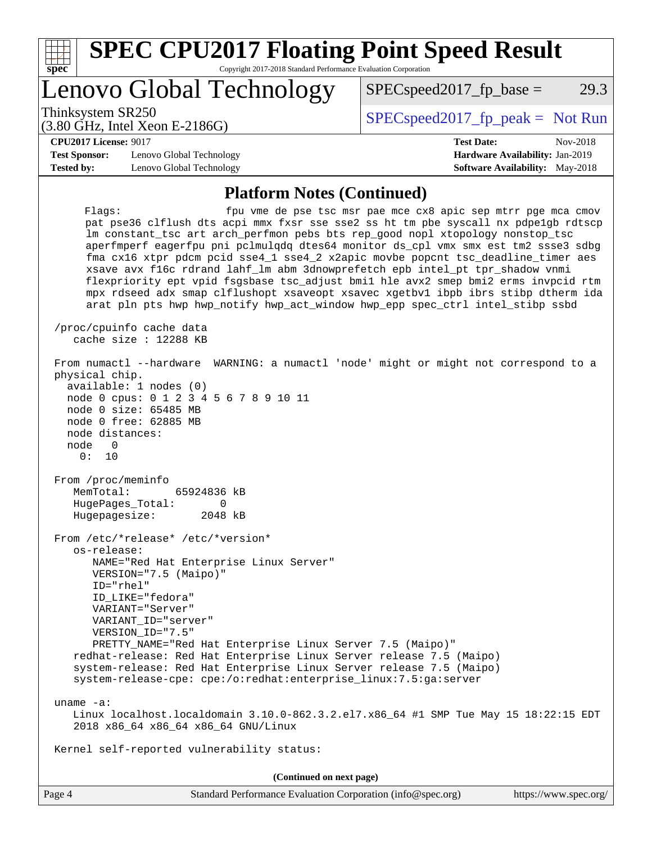| spec |  |  |  |  |  |
|------|--|--|--|--|--|

# **[SPEC CPU2017 Floating Point Speed Result](http://www.spec.org/auto/cpu2017/Docs/result-fields.html#SPECCPU2017FloatingPointSpeedResult)**

Copyright 2017-2018 Standard Performance Evaluation Corporation

# Lenovo Global Technology

Thinksystem SR250  $SPEC speed2017$  [p\_peak = Not Run

 $SPECspeed2017<sub>fp</sub> base = 29.3$ 

#### (3.80 GHz, Intel Xeon E-2186G)

**[CPU2017 License:](http://www.spec.org/auto/cpu2017/Docs/result-fields.html#CPU2017License)** 9017 **[Test Date:](http://www.spec.org/auto/cpu2017/Docs/result-fields.html#TestDate)** Nov-2018

**[Test Sponsor:](http://www.spec.org/auto/cpu2017/Docs/result-fields.html#TestSponsor)** Lenovo Global Technology **[Hardware Availability:](http://www.spec.org/auto/cpu2017/Docs/result-fields.html#HardwareAvailability)** Jan-2019 **[Tested by:](http://www.spec.org/auto/cpu2017/Docs/result-fields.html#Testedby)** Lenovo Global Technology **[Software Availability:](http://www.spec.org/auto/cpu2017/Docs/result-fields.html#SoftwareAvailability)** May-2018

### **[Platform Notes \(Continued\)](http://www.spec.org/auto/cpu2017/Docs/result-fields.html#PlatformNotes)**

Flags: fpu vme de pse tsc msr pae mce cx8 apic sep mtrr pge mca cmov pat pse36 clflush dts acpi mmx fxsr sse sse2 ss ht tm pbe syscall nx pdpe1gb rdtscp lm constant\_tsc art arch\_perfmon pebs bts rep\_good nopl xtopology nonstop\_tsc aperfmperf eagerfpu pni pclmulqdq dtes64 monitor ds\_cpl vmx smx est tm2 ssse3 sdbg fma cx16 xtpr pdcm pcid sse4\_1 sse4\_2 x2apic movbe popcnt tsc\_deadline\_timer aes xsave avx f16c rdrand lahf\_lm abm 3dnowprefetch epb intel\_pt tpr\_shadow vnmi flexpriority ept vpid fsgsbase tsc\_adjust bmi1 hle avx2 smep bmi2 erms invpcid rtm mpx rdseed adx smap clflushopt xsaveopt xsavec xgetbv1 ibpb ibrs stibp dtherm ida arat pln pts hwp hwp\_notify hwp\_act\_window hwp\_epp spec\_ctrl intel\_stibp ssbd

 /proc/cpuinfo cache data cache size : 12288 KB

#### From numactl --hardware WARNING: a numactl 'node' might or might not correspond to a physical chip. available: 1 nodes (0) node 0 cpus: 0 1 2 3 4 5 6 7 8 9 10 11 node 0 size: 65485 MB node 0 free: 62885 MB node distances: node 0 0: 10 From /proc/meminfo MemTotal: 65924836 kB HugePages\_Total: 0 Hugepagesize: 2048 kB

 From /etc/\*release\* /etc/\*version\* os-release: NAME="Red Hat Enterprise Linux Server" VERSION="7.5 (Maipo)" ID="rhel" ID\_LIKE="fedora" VARIANT="Server" VARIANT\_ID="server" VERSION\_ID="7.5" PRETTY\_NAME="Red Hat Enterprise Linux Server 7.5 (Maipo)" redhat-release: Red Hat Enterprise Linux Server release 7.5 (Maipo) system-release: Red Hat Enterprise Linux Server release 7.5 (Maipo) system-release-cpe: cpe:/o:redhat:enterprise\_linux:7.5:ga:server

uname -a:

 Linux localhost.localdomain 3.10.0-862.3.2.el7.x86\_64 #1 SMP Tue May 15 18:22:15 EDT 2018 x86\_64 x86\_64 x86\_64 GNU/Linux

Kernel self-reported vulnerability status:

**(Continued on next page)**

| Page 4 | Standard Performance Evaluation Corporation (info@spec.org) | https://www.spec.org/ |
|--------|-------------------------------------------------------------|-----------------------|
|        |                                                             |                       |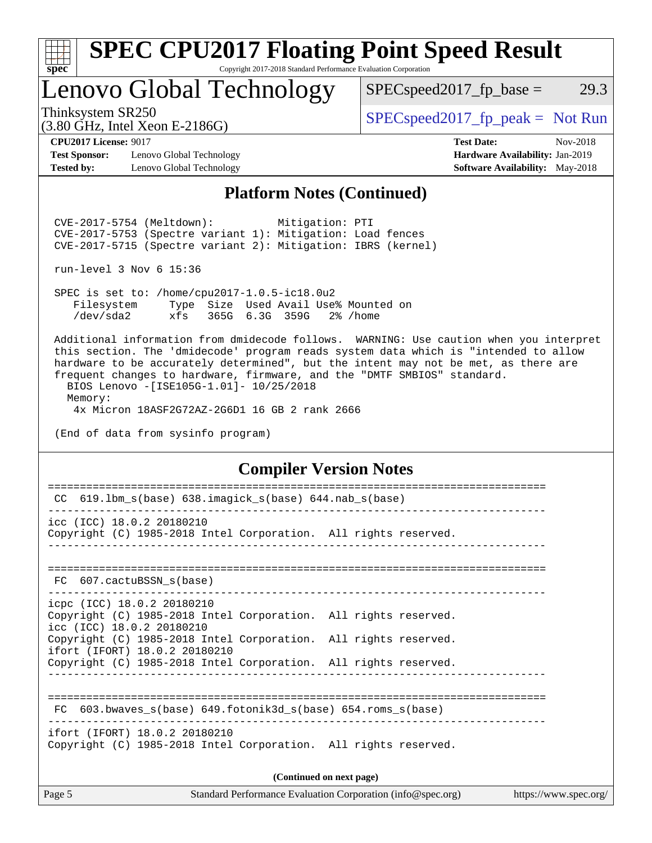

### **[SPEC CPU2017 Floating Point Speed Result](http://www.spec.org/auto/cpu2017/Docs/result-fields.html#SPECCPU2017FloatingPointSpeedResult)** Copyright 2017-2018 Standard Performance Evaluation Corporation

Lenovo Global Technology

 $SPEC speed2017_fp\_base = 29.3$ 

(3.80 GHz, Intel Xeon E-2186G)

Thinksystem SR250  $SPEC speed2017$  [p\_peak = Not Run

**[Test Sponsor:](http://www.spec.org/auto/cpu2017/Docs/result-fields.html#TestSponsor)** Lenovo Global Technology **[Hardware Availability:](http://www.spec.org/auto/cpu2017/Docs/result-fields.html#HardwareAvailability)** Jan-2019 **[Tested by:](http://www.spec.org/auto/cpu2017/Docs/result-fields.html#Testedby)** Lenovo Global Technology **[Software Availability:](http://www.spec.org/auto/cpu2017/Docs/result-fields.html#SoftwareAvailability)** May-2018

**[CPU2017 License:](http://www.spec.org/auto/cpu2017/Docs/result-fields.html#CPU2017License)** 9017 **[Test Date:](http://www.spec.org/auto/cpu2017/Docs/result-fields.html#TestDate)** Nov-2018

### **[Platform Notes \(Continued\)](http://www.spec.org/auto/cpu2017/Docs/result-fields.html#PlatformNotes)**

 CVE-2017-5754 (Meltdown): Mitigation: PTI CVE-2017-5753 (Spectre variant 1): Mitigation: Load fences CVE-2017-5715 (Spectre variant 2): Mitigation: IBRS (kernel)

run-level 3 Nov 6 15:36

 SPEC is set to: /home/cpu2017-1.0.5-ic18.0u2 Filesystem Type Size Used Avail Use% Mounted on /dev/sda2 xfs 365G 6.3G 359G 2% /home

 Additional information from dmidecode follows. WARNING: Use caution when you interpret this section. The 'dmidecode' program reads system data which is "intended to allow hardware to be accurately determined", but the intent may not be met, as there are frequent changes to hardware, firmware, and the "DMTF SMBIOS" standard. BIOS Lenovo -[ISE105G-1.01]- 10/25/2018

 Memory: 4x Micron 18ASF2G72AZ-2G6D1 16 GB 2 rank 2666

(End of data from sysinfo program)

### **[Compiler Version Notes](http://www.spec.org/auto/cpu2017/Docs/result-fields.html#CompilerVersionNotes)**

| Page 5                                                     |                                                                 | Standard Performance Evaluation Corporation (info@spec.org) | https://www.spec.org/ |  |  |
|------------------------------------------------------------|-----------------------------------------------------------------|-------------------------------------------------------------|-----------------------|--|--|
| (Continued on next page)                                   |                                                                 |                                                             |                       |  |  |
| ifort (IFORT) 18.0.2 20180210                              | Copyright (C) 1985-2018 Intel Corporation. All rights reserved. |                                                             |                       |  |  |
| FC                                                         | 603.bwaves $s(base)$ 649.fotonik3d $s(base)$ 654.roms $s(base)$ |                                                             |                       |  |  |
|                                                            | Copyright (C) 1985-2018 Intel Corporation. All rights reserved. |                                                             |                       |  |  |
| icc (ICC) 18.0.2 20180210<br>ifort (IFORT) 18.0.2 20180210 | Copyright (C) 1985-2018 Intel Corporation. All rights reserved. |                                                             |                       |  |  |
| icpc (ICC) 18.0.2 20180210                                 | Copyright (C) 1985-2018 Intel Corporation. All rights reserved. |                                                             |                       |  |  |
| FC 607.cactuBSSN s(base)                                   |                                                                 |                                                             |                       |  |  |
| icc (ICC) 18.0.2 20180210                                  | Copyright (C) 1985-2018 Intel Corporation. All rights reserved. |                                                             |                       |  |  |
| CC                                                         | 619.1bm_s(base) 638.imagick_s(base) 644.nab_s(base)             |                                                             |                       |  |  |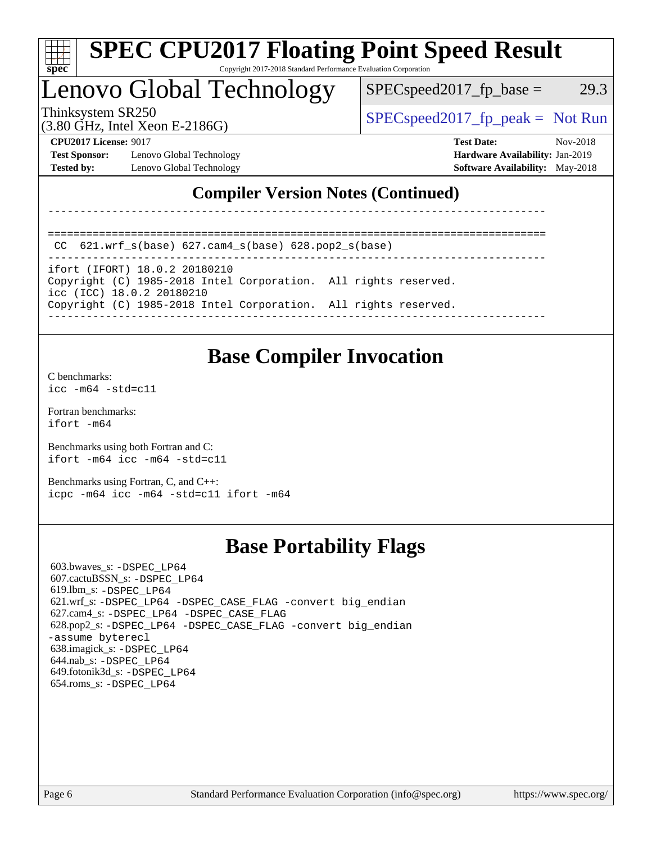

# **[SPEC CPU2017 Floating Point Speed Result](http://www.spec.org/auto/cpu2017/Docs/result-fields.html#SPECCPU2017FloatingPointSpeedResult)**

Copyright 2017-2018 Standard Performance Evaluation Corporation

# Lenovo Global Technology

 $SPEC speed2017_fp\_base = 29.3$ 

(3.80 GHz, Intel Xeon E-2186G)

Thinksystem SR250  $SPEC speed2017$  [p\_peak = Not Run

**[Test Sponsor:](http://www.spec.org/auto/cpu2017/Docs/result-fields.html#TestSponsor)** Lenovo Global Technology **[Hardware Availability:](http://www.spec.org/auto/cpu2017/Docs/result-fields.html#HardwareAvailability)** Jan-2019 **[Tested by:](http://www.spec.org/auto/cpu2017/Docs/result-fields.html#Testedby)** Lenovo Global Technology **[Software Availability:](http://www.spec.org/auto/cpu2017/Docs/result-fields.html#SoftwareAvailability)** May-2018

**[CPU2017 License:](http://www.spec.org/auto/cpu2017/Docs/result-fields.html#CPU2017License)** 9017 **[Test Date:](http://www.spec.org/auto/cpu2017/Docs/result-fields.html#TestDate)** Nov-2018

### **[Compiler Version Notes \(Continued\)](http://www.spec.org/auto/cpu2017/Docs/result-fields.html#CompilerVersionNotes)**

------------------------------------------------------------------------------

```
==============================================================================
CC 621.wrf_s(base) 627.cam4_s(base) 628.pop2_s(base)
```
------------------------------------------------------------------------------

ifort (IFORT) 18.0.2 20180210 Copyright (C) 1985-2018 Intel Corporation. All rights reserved.

icc (ICC) 18.0.2 20180210

Copyright (C) 1985-2018 Intel Corporation. All rights reserved.

#### ------------------------------------------------------------------------------

### **[Base Compiler Invocation](http://www.spec.org/auto/cpu2017/Docs/result-fields.html#BaseCompilerInvocation)**

[C benchmarks](http://www.spec.org/auto/cpu2017/Docs/result-fields.html#Cbenchmarks): [icc -m64 -std=c11](http://www.spec.org/cpu2017/results/res2018q4/cpu2017-20181113-09693.flags.html#user_CCbase_intel_icc_64bit_c11_33ee0cdaae7deeeab2a9725423ba97205ce30f63b9926c2519791662299b76a0318f32ddfffdc46587804de3178b4f9328c46fa7c2b0cd779d7a61945c91cd35)

[Fortran benchmarks](http://www.spec.org/auto/cpu2017/Docs/result-fields.html#Fortranbenchmarks): [ifort -m64](http://www.spec.org/cpu2017/results/res2018q4/cpu2017-20181113-09693.flags.html#user_FCbase_intel_ifort_64bit_24f2bb282fbaeffd6157abe4f878425411749daecae9a33200eee2bee2fe76f3b89351d69a8130dd5949958ce389cf37ff59a95e7a40d588e8d3a57e0c3fd751)

[Benchmarks using both Fortran and C](http://www.spec.org/auto/cpu2017/Docs/result-fields.html#BenchmarksusingbothFortranandC): [ifort -m64](http://www.spec.org/cpu2017/results/res2018q4/cpu2017-20181113-09693.flags.html#user_CC_FCbase_intel_ifort_64bit_24f2bb282fbaeffd6157abe4f878425411749daecae9a33200eee2bee2fe76f3b89351d69a8130dd5949958ce389cf37ff59a95e7a40d588e8d3a57e0c3fd751) [icc -m64 -std=c11](http://www.spec.org/cpu2017/results/res2018q4/cpu2017-20181113-09693.flags.html#user_CC_FCbase_intel_icc_64bit_c11_33ee0cdaae7deeeab2a9725423ba97205ce30f63b9926c2519791662299b76a0318f32ddfffdc46587804de3178b4f9328c46fa7c2b0cd779d7a61945c91cd35)

[Benchmarks using Fortran, C, and C++:](http://www.spec.org/auto/cpu2017/Docs/result-fields.html#BenchmarksusingFortranCandCXX) [icpc -m64](http://www.spec.org/cpu2017/results/res2018q4/cpu2017-20181113-09693.flags.html#user_CC_CXX_FCbase_intel_icpc_64bit_4ecb2543ae3f1412ef961e0650ca070fec7b7afdcd6ed48761b84423119d1bf6bdf5cad15b44d48e7256388bc77273b966e5eb805aefd121eb22e9299b2ec9d9) [icc -m64 -std=c11](http://www.spec.org/cpu2017/results/res2018q4/cpu2017-20181113-09693.flags.html#user_CC_CXX_FCbase_intel_icc_64bit_c11_33ee0cdaae7deeeab2a9725423ba97205ce30f63b9926c2519791662299b76a0318f32ddfffdc46587804de3178b4f9328c46fa7c2b0cd779d7a61945c91cd35) [ifort -m64](http://www.spec.org/cpu2017/results/res2018q4/cpu2017-20181113-09693.flags.html#user_CC_CXX_FCbase_intel_ifort_64bit_24f2bb282fbaeffd6157abe4f878425411749daecae9a33200eee2bee2fe76f3b89351d69a8130dd5949958ce389cf37ff59a95e7a40d588e8d3a57e0c3fd751)

### **[Base Portability Flags](http://www.spec.org/auto/cpu2017/Docs/result-fields.html#BasePortabilityFlags)**

 603.bwaves\_s: [-DSPEC\\_LP64](http://www.spec.org/cpu2017/results/res2018q4/cpu2017-20181113-09693.flags.html#suite_basePORTABILITY603_bwaves_s_DSPEC_LP64) 607.cactuBSSN\_s: [-DSPEC\\_LP64](http://www.spec.org/cpu2017/results/res2018q4/cpu2017-20181113-09693.flags.html#suite_basePORTABILITY607_cactuBSSN_s_DSPEC_LP64) 619.lbm\_s: [-DSPEC\\_LP64](http://www.spec.org/cpu2017/results/res2018q4/cpu2017-20181113-09693.flags.html#suite_basePORTABILITY619_lbm_s_DSPEC_LP64) 621.wrf\_s: [-DSPEC\\_LP64](http://www.spec.org/cpu2017/results/res2018q4/cpu2017-20181113-09693.flags.html#suite_basePORTABILITY621_wrf_s_DSPEC_LP64) [-DSPEC\\_CASE\\_FLAG](http://www.spec.org/cpu2017/results/res2018q4/cpu2017-20181113-09693.flags.html#b621.wrf_s_baseCPORTABILITY_DSPEC_CASE_FLAG) [-convert big\\_endian](http://www.spec.org/cpu2017/results/res2018q4/cpu2017-20181113-09693.flags.html#user_baseFPORTABILITY621_wrf_s_convert_big_endian_c3194028bc08c63ac5d04de18c48ce6d347e4e562e8892b8bdbdc0214820426deb8554edfa529a3fb25a586e65a3d812c835984020483e7e73212c4d31a38223) 627.cam4\_s: [-DSPEC\\_LP64](http://www.spec.org/cpu2017/results/res2018q4/cpu2017-20181113-09693.flags.html#suite_basePORTABILITY627_cam4_s_DSPEC_LP64) [-DSPEC\\_CASE\\_FLAG](http://www.spec.org/cpu2017/results/res2018q4/cpu2017-20181113-09693.flags.html#b627.cam4_s_baseCPORTABILITY_DSPEC_CASE_FLAG) 628.pop2\_s: [-DSPEC\\_LP64](http://www.spec.org/cpu2017/results/res2018q4/cpu2017-20181113-09693.flags.html#suite_basePORTABILITY628_pop2_s_DSPEC_LP64) [-DSPEC\\_CASE\\_FLAG](http://www.spec.org/cpu2017/results/res2018q4/cpu2017-20181113-09693.flags.html#b628.pop2_s_baseCPORTABILITY_DSPEC_CASE_FLAG) [-convert big\\_endian](http://www.spec.org/cpu2017/results/res2018q4/cpu2017-20181113-09693.flags.html#user_baseFPORTABILITY628_pop2_s_convert_big_endian_c3194028bc08c63ac5d04de18c48ce6d347e4e562e8892b8bdbdc0214820426deb8554edfa529a3fb25a586e65a3d812c835984020483e7e73212c4d31a38223) [-assume byterecl](http://www.spec.org/cpu2017/results/res2018q4/cpu2017-20181113-09693.flags.html#user_baseFPORTABILITY628_pop2_s_assume_byterecl_7e47d18b9513cf18525430bbf0f2177aa9bf368bc7a059c09b2c06a34b53bd3447c950d3f8d6c70e3faf3a05c8557d66a5798b567902e8849adc142926523472) 638.imagick\_s: [-DSPEC\\_LP64](http://www.spec.org/cpu2017/results/res2018q4/cpu2017-20181113-09693.flags.html#suite_basePORTABILITY638_imagick_s_DSPEC_LP64) 644.nab\_s: [-DSPEC\\_LP64](http://www.spec.org/cpu2017/results/res2018q4/cpu2017-20181113-09693.flags.html#suite_basePORTABILITY644_nab_s_DSPEC_LP64) 649.fotonik3d\_s: [-DSPEC\\_LP64](http://www.spec.org/cpu2017/results/res2018q4/cpu2017-20181113-09693.flags.html#suite_basePORTABILITY649_fotonik3d_s_DSPEC_LP64) 654.roms\_s: [-DSPEC\\_LP64](http://www.spec.org/cpu2017/results/res2018q4/cpu2017-20181113-09693.flags.html#suite_basePORTABILITY654_roms_s_DSPEC_LP64)